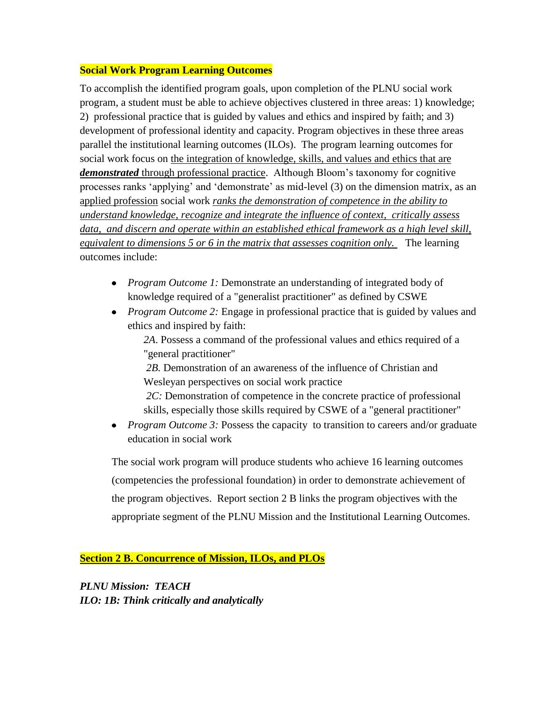#### **Social Work Program Learning Outcomes**

To accomplish the identified program goals, upon completion of the PLNU social work program, a student must be able to achieve objectives clustered in three areas: 1) knowledge; 2) professional practice that is guided by values and ethics and inspired by faith; and 3) development of professional identity and capacity. Program objectives in these three areas parallel the institutional learning outcomes (ILOs). The program learning outcomes for social work focus on the integration of knowledge, skills, and values and ethics that are *demonstrated* through professional practice. Although Bloom's taxonomy for cognitive processes ranks 'applying' and 'demonstrate' as mid-level (3) on the dimension matrix, as an applied profession social work *ranks the demonstration of competence in the ability to understand knowledge, recognize and integrate the influence of context, critically assess data, and discern and operate within an established ethical framework as a high level skill, equivalent to dimensions 5 or 6 in the matrix that assesses cognition only.* The learning outcomes include:

- *Program Outcome 1:* Demonstrate an understanding of integrated body of knowledge required of a "generalist practitioner" as defined by CSWE
- *Program Outcome 2:* Engage in professional practice that is guided by values and ethics and inspired by faith:

*2A*. Possess a command of the professional values and ethics required of a "general practitioner"

*2B.* Demonstration of an awareness of the influence of Christian and Wesleyan perspectives on social work practice

*2C:* Demonstration of competence in the concrete practice of professional skills, especially those skills required by CSWE of a "general practitioner"

• *Program Outcome 3:* Possess the capacity to transition to careers and/or graduate education in social work

The social work program will produce students who achieve 16 learning outcomes (competencies the professional foundation) in order to demonstrate achievement of the program objectives. Report section 2 B links the program objectives with the appropriate segment of the PLNU Mission and the Institutional Learning Outcomes.

**Section 2 B. Concurrence of Mission, ILOs, and PLOs**

*PLNU Mission: TEACH ILO: 1B: Think critically and analytically*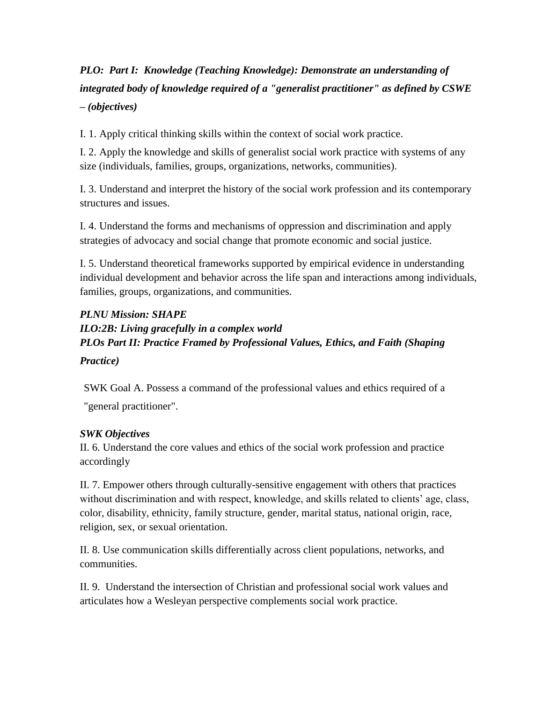# *PLO: Part I: Knowledge (Teaching Knowledge): Demonstrate an understanding of integrated body of knowledge required of a "generalist practitioner" as defined by CSWE – (objectives)*

I. 1. Apply critical thinking skills within the context of social work practice.

I. 2. Apply the knowledge and skills of generalist social work practice with systems of any size (individuals, families, groups, organizations, networks, communities).

I. 3. Understand and interpret the history of the social work profession and its contemporary structures and issues.

I. 4. Understand the forms and mechanisms of oppression and discrimination and apply strategies of advocacy and social change that promote economic and social justice.

I. 5. Understand theoretical frameworks supported by empirical evidence in understanding individual development and behavior across the life span and interactions among individuals, families, groups, organizations, and communities.

#### *PLNU Mission: SHAPE*

*ILO:2B: Living gracefully in a complex world PLOs Part II: Practice Framed by Professional Values, Ethics, and Faith (Shaping Practice)*

SWK Goal A. Possess a command of the professional values and ethics required of a "general practitioner".

### *SWK Objectives*

II. 6. Understand the core values and ethics of the social work profession and practice accordingly

II. 7. Empower others through culturally-sensitive engagement with others that practices without discrimination and with respect, knowledge, and skills related to clients' age, class, color, disability, ethnicity, family structure, gender, marital status, national origin, race, religion, sex, or sexual orientation.

II. 8. Use communication skills differentially across client populations, networks, and communities.

II. 9.Understand the intersection of Christian and professional social work values and articulates how a Wesleyan perspective complements social work practice.